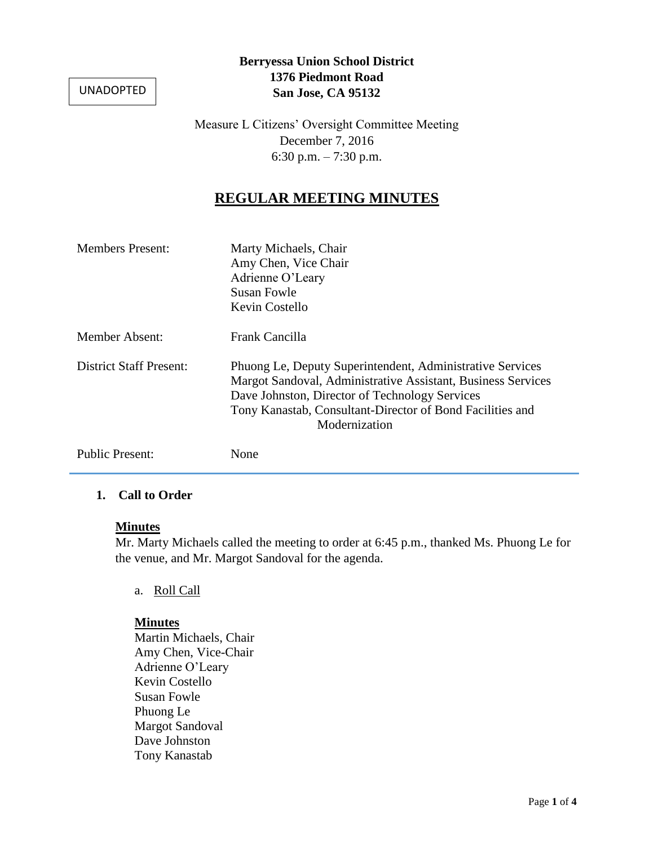UNADOPTED

## **Berryessa Union School District 1376 Piedmont Road San Jose, CA 95132**

Measure L Citizens' Oversight Committee Meeting December 7, 2016 6:30 p.m. – 7:30 p.m.

# **REGULAR MEETING MINUTES**

| <b>Members Present:</b>        | Marty Michaels, Chair<br>Amy Chen, Vice Chair<br>Adrienne O'Leary<br>Susan Fowle<br>Kevin Costello                                                                                                                                                        |
|--------------------------------|-----------------------------------------------------------------------------------------------------------------------------------------------------------------------------------------------------------------------------------------------------------|
| Member Absent:                 | Frank Cancilla                                                                                                                                                                                                                                            |
| <b>District Staff Present:</b> | Phuong Le, Deputy Superintendent, Administrative Services<br>Margot Sandoval, Administrative Assistant, Business Services<br>Dave Johnston, Director of Technology Services<br>Tony Kanastab, Consultant-Director of Bond Facilities and<br>Modernization |
| <b>Public Present:</b>         | None                                                                                                                                                                                                                                                      |

## **1. Call to Order**

#### **Minutes**

Mr. Marty Michaels called the meeting to order at 6:45 p.m., thanked Ms. Phuong Le for the venue, and Mr. Margot Sandoval for the agenda.

a. Roll Call

#### **Minutes**

Martin Michaels, Chair Amy Chen, Vice-Chair Adrienne O'Leary Kevin Costello Susan Fowle Phuong Le Margot Sandoval Dave Johnston Tony Kanastab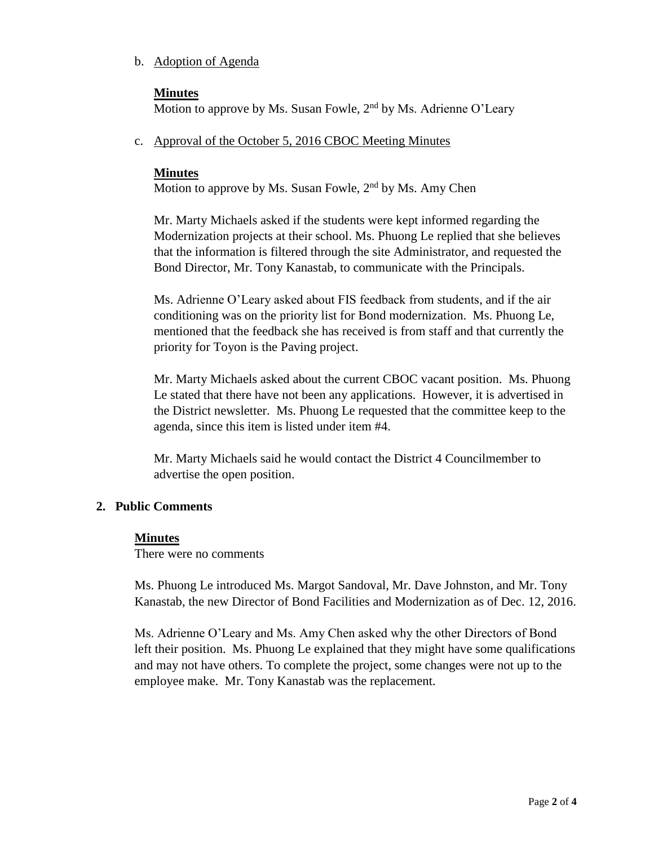## b. Adoption of Agenda

### **Minutes**

Motion to approve by Ms. Susan Fowle,  $2<sup>nd</sup>$  by Ms. Adrienne O'Leary

c. Approval of the October 5, 2016 CBOC Meeting Minutes

## **Minutes**

Motion to approve by Ms. Susan Fowle,  $2<sup>nd</sup>$  by Ms. Amy Chen

Mr. Marty Michaels asked if the students were kept informed regarding the Modernization projects at their school. Ms. Phuong Le replied that she believes that the information is filtered through the site Administrator, and requested the Bond Director, Mr. Tony Kanastab, to communicate with the Principals.

Ms. Adrienne O'Leary asked about FIS feedback from students, and if the air conditioning was on the priority list for Bond modernization. Ms. Phuong Le, mentioned that the feedback she has received is from staff and that currently the priority for Toyon is the Paving project.

Mr. Marty Michaels asked about the current CBOC vacant position. Ms. Phuong Le stated that there have not been any applications. However, it is advertised in the District newsletter. Ms. Phuong Le requested that the committee keep to the agenda, since this item is listed under item #4.

Mr. Marty Michaels said he would contact the District 4 Councilmember to advertise the open position.

## **2. Public Comments**

#### **Minutes**

There were no comments

Ms. Phuong Le introduced Ms. Margot Sandoval, Mr. Dave Johnston, and Mr. Tony Kanastab, the new Director of Bond Facilities and Modernization as of Dec. 12, 2016.

Ms. Adrienne O'Leary and Ms. Amy Chen asked why the other Directors of Bond left their position. Ms. Phuong Le explained that they might have some qualifications and may not have others. To complete the project, some changes were not up to the employee make. Mr. Tony Kanastab was the replacement.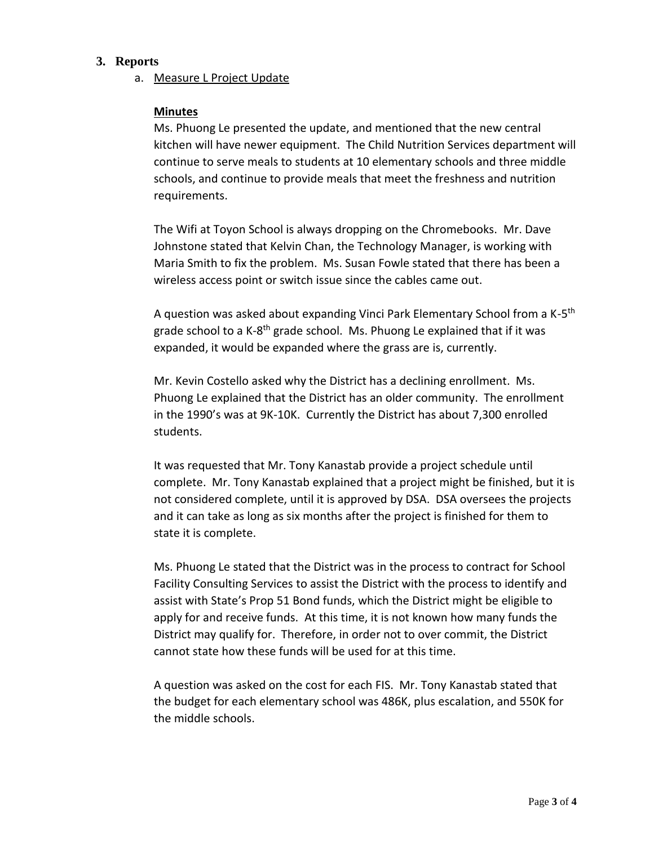#### **3. Reports**

a. Measure L Project Update

#### **Minutes**

Ms. Phuong Le presented the update, and mentioned that the new central kitchen will have newer equipment. The Child Nutrition Services department will continue to serve meals to students at 10 elementary schools and three middle schools, and continue to provide meals that meet the freshness and nutrition requirements.

The Wifi at Toyon School is always dropping on the Chromebooks. Mr. Dave Johnstone stated that Kelvin Chan, the Technology Manager, is working with Maria Smith to fix the problem. Ms. Susan Fowle stated that there has been a wireless access point or switch issue since the cables came out.

A question was asked about expanding Vinci Park Elementary School from a K-5<sup>th</sup> grade school to a K-8<sup>th</sup> grade school. Ms. Phuong Le explained that if it was expanded, it would be expanded where the grass are is, currently.

Mr. Kevin Costello asked why the District has a declining enrollment. Ms. Phuong Le explained that the District has an older community. The enrollment in the 1990's was at 9K-10K. Currently the District has about 7,300 enrolled students.

It was requested that Mr. Tony Kanastab provide a project schedule until complete. Mr. Tony Kanastab explained that a project might be finished, but it is not considered complete, until it is approved by DSA. DSA oversees the projects and it can take as long as six months after the project is finished for them to state it is complete.

Ms. Phuong Le stated that the District was in the process to contract for School Facility Consulting Services to assist the District with the process to identify and assist with State's Prop 51 Bond funds, which the District might be eligible to apply for and receive funds. At this time, it is not known how many funds the District may qualify for. Therefore, in order not to over commit, the District cannot state how these funds will be used for at this time.

A question was asked on the cost for each FIS. Mr. Tony Kanastab stated that the budget for each elementary school was 486K, plus escalation, and 550K for the middle schools.